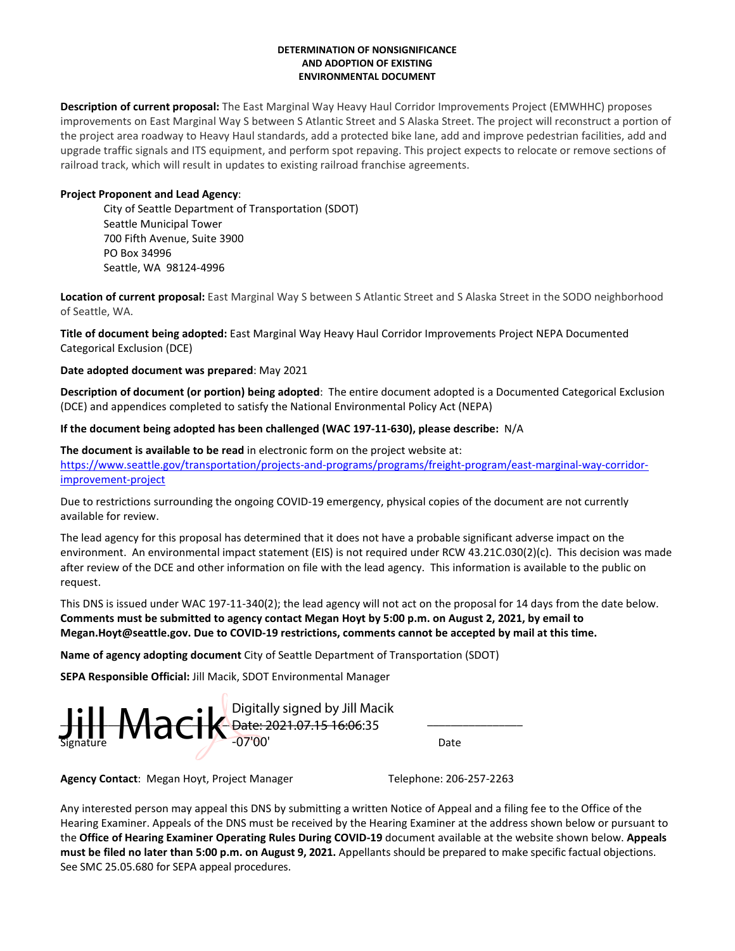### **DETERMINATION OF NONSIGNIFICANCE AND ADOPTION OF EXISTING ENVIRONMENTAL DOCUMENT**

**Description of current proposal:** The East Marginal Way Heavy Haul Corridor Improvements Project (EMWHHC) proposes improvements on East Marginal Way S between S Atlantic Street and S Alaska Street. The project will reconstruct a portion of the project area roadway to Heavy Haul standards, add a protected bike lane, add and improve pedestrian facilities, add and upgrade traffic signals and ITS equipment, and perform spot repaving. This project expects to relocate or remove sections of railroad track, which will result in updates to existing railroad franchise agreements.

## **Project Proponent and Lead Agency**:

City of Seattle Department of Transportation (SDOT) Seattle Municipal Tower 700 Fifth Avenue, Suite 3900 PO Box 34996 Seattle, WA 98124-4996

**Location of current proposal:** East Marginal Way S between S Atlantic Street and S Alaska Street in the SODO neighborhood of Seattle, WA.

**Title of document being adopted:** East Marginal Way Heavy Haul Corridor Improvements Project NEPA Documented Categorical Exclusion (DCE)

## **Date adopted document was prepared**: May 2021

**Description of document (or portion) being adopted**: The entire document adopted is a Documented Categorical Exclusion (DCE) and appendices completed to satisfy the National Environmental Policy Act (NEPA)

# **If the document being adopted has been challenged (WAC 197-11-630), please describe:** N/A

**The document is available to be read** in electronic form on the project website at:

[https://www.seattle.gov/transportation/projects-and-programs/programs/freight-program/east-marginal-way-corridor](https://www.seattle.gov/transportation/projects-and-programs/programs/freight-program/east-marginal-way-corridor-improvement-project)[improvement-project](https://www.seattle.gov/transportation/projects-and-programs/programs/freight-program/east-marginal-way-corridor-improvement-project)

Due to restrictions surrounding the ongoing COVID-19 emergency, physical copies of the document are not currently available for review.

The lead agency for this proposal has determined that it does not have a probable significant adverse impact on the environment. An environmental impact statement (EIS) is not required under RCW 43.21C.030(2)(c). This decision was made after review of the DCE and other information on file with the lead agency. This information is available to the public on request.

This DNS is issued under WAC 197-11-340(2); the lead agency will not act on the proposal for 14 days from the date below. **Comments must be submitted to agency contact Megan Hoyt by 5:00 p.m. on August 2, 2021, by email to Megan.Hoyt@seattle.gov. Due to COVID-19 restrictions, comments cannot be accepted by mail at this time.** 

**Name of agency adopting document** City of Seattle Department of Transportation (SDOT)

**SEPA Responsible Official:** Jill Macik, SDOT Environmental Manager

\_\_\_\_\_\_\_\_\_\_\_\_\_\_\_\_\_\_\_\_\_\_\_\_\_\_\_\_\_\_\_\_\_\_\_\_\_\_\_\_\_\_\_\_\_\_\_\_\_\_ \_\_\_\_\_\_\_\_\_\_\_\_\_\_\_\_  $\prod_{\text{Signature}}$  Macik Digitally signed by Jill Macik<br>Signature  $\prod_{\text{Order: }2021.07.15\ 16:06:35}$  Date Date: 2021.07.15 16:06:35 -07'00'

**Agency Contact: Megan Hoyt, Project Manager Telephone: 206-257-2263** 

Any interested person may appeal this DNS by submitting a written Notice of Appeal and a filing fee to the Office of the Hearing Examiner. Appeals of the DNS must be received by the Hearing Examiner at the address shown below or pursuant to the **Office of Hearing Examiner Operating Rules During COVID-19** document available at the website shown below. **Appeals must be filed no later than 5:00 p.m. on August 9, 2021.** Appellants should be prepared to make specific factual objections. See SMC 25.05.680 for SEPA appeal procedures.